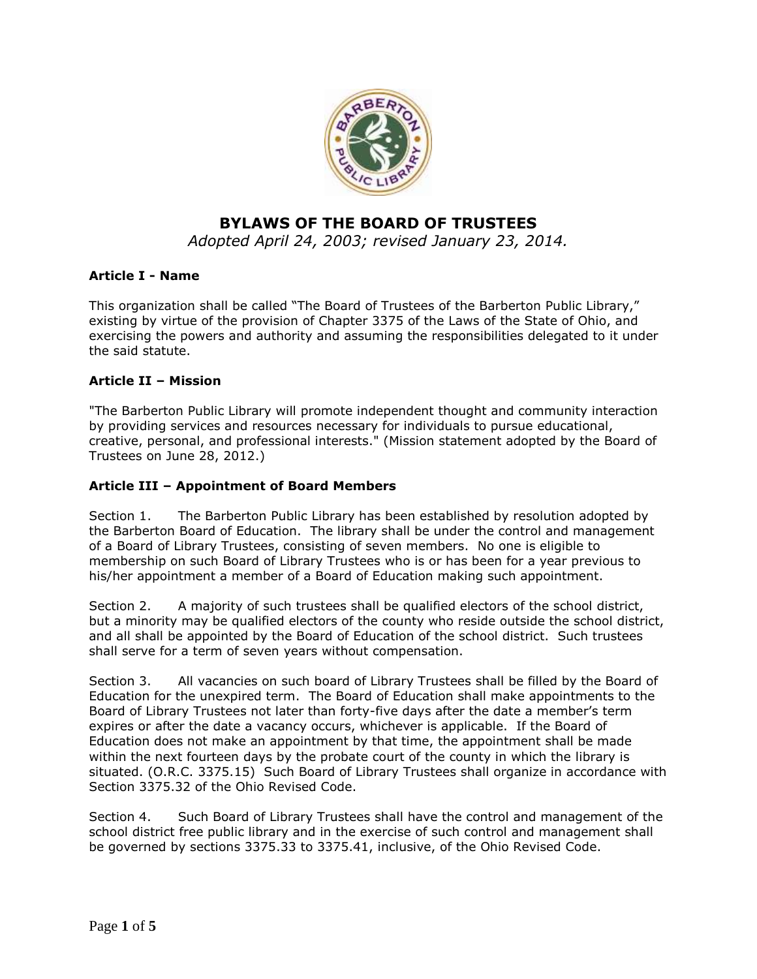

# **BYLAWS OF THE BOARD OF TRUSTEES**

*Adopted April 24, 2003; revised January 23, 2014.*

# **Article I - Name**

This organization shall be called "The Board of Trustees of the Barberton Public Library," existing by virtue of the provision of Chapter 3375 of the Laws of the State of Ohio, and exercising the powers and authority and assuming the responsibilities delegated to it under the said statute.

### **Article II – Mission**

"The Barberton Public Library will promote independent thought and community interaction by providing services and resources necessary for individuals to pursue educational, creative, personal, and professional interests." (Mission statement adopted by the Board of Trustees on June 28, 2012.)

### **Article III – Appointment of Board Members**

Section 1. The Barberton Public Library has been established by resolution adopted by the Barberton Board of Education. The library shall be under the control and management of a Board of Library Trustees, consisting of seven members. No one is eligible to membership on such Board of Library Trustees who is or has been for a year previous to his/her appointment a member of a Board of Education making such appointment.

Section 2. A majority of such trustees shall be qualified electors of the school district, but a minority may be qualified electors of the county who reside outside the school district, and all shall be appointed by the Board of Education of the school district. Such trustees shall serve for a term of seven years without compensation.

Section 3. All vacancies on such board of Library Trustees shall be filled by the Board of Education for the unexpired term. The Board of Education shall make appointments to the Board of Library Trustees not later than forty-five days after the date a member's term expires or after the date a vacancy occurs, whichever is applicable. If the Board of Education does not make an appointment by that time, the appointment shall be made within the next fourteen days by the probate court of the county in which the library is situated. (O.R.C. 3375.15) Such Board of Library Trustees shall organize in accordance with Section 3375.32 of the Ohio Revised Code.

Section 4. Such Board of Library Trustees shall have the control and management of the school district free public library and in the exercise of such control and management shall be governed by sections 3375.33 to 3375.41, inclusive, of the Ohio Revised Code.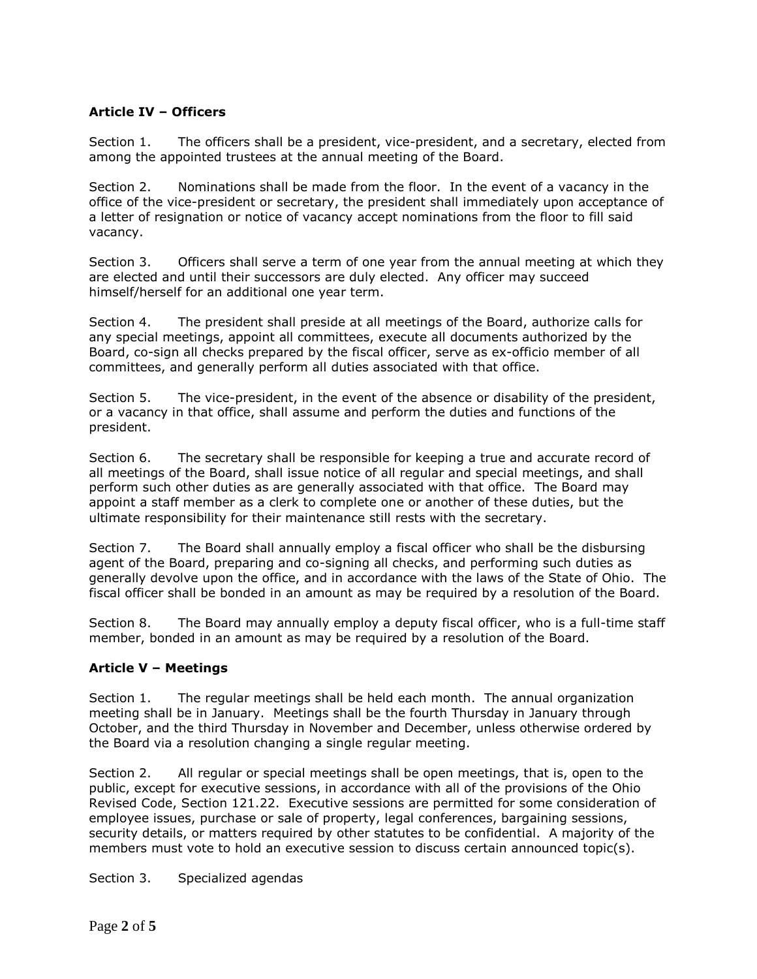# **Article IV – Officers**

Section 1. The officers shall be a president, vice-president, and a secretary, elected from among the appointed trustees at the annual meeting of the Board.

Section 2. Nominations shall be made from the floor. In the event of a vacancy in the office of the vice-president or secretary, the president shall immediately upon acceptance of a letter of resignation or notice of vacancy accept nominations from the floor to fill said vacancy.

Section 3. Officers shall serve a term of one year from the annual meeting at which they are elected and until their successors are duly elected. Any officer may succeed himself/herself for an additional one year term.

Section 4. The president shall preside at all meetings of the Board, authorize calls for any special meetings, appoint all committees, execute all documents authorized by the Board, co-sign all checks prepared by the fiscal officer, serve as ex-officio member of all committees, and generally perform all duties associated with that office.

Section 5. The vice-president, in the event of the absence or disability of the president, or a vacancy in that office, shall assume and perform the duties and functions of the president.

Section 6. The secretary shall be responsible for keeping a true and accurate record of all meetings of the Board, shall issue notice of all regular and special meetings, and shall perform such other duties as are generally associated with that office. The Board may appoint a staff member as a clerk to complete one or another of these duties, but the ultimate responsibility for their maintenance still rests with the secretary.

Section 7. The Board shall annually employ a fiscal officer who shall be the disbursing agent of the Board, preparing and co-signing all checks, and performing such duties as generally devolve upon the office, and in accordance with the laws of the State of Ohio. The fiscal officer shall be bonded in an amount as may be required by a resolution of the Board.

Section 8. The Board may annually employ a deputy fiscal officer, who is a full-time staff member, bonded in an amount as may be required by a resolution of the Board.

### **Article V – Meetings**

Section 1. The regular meetings shall be held each month. The annual organization meeting shall be in January. Meetings shall be the fourth Thursday in January through October, and the third Thursday in November and December, unless otherwise ordered by the Board via a resolution changing a single regular meeting.

Section 2. All regular or special meetings shall be open meetings, that is, open to the public, except for executive sessions, in accordance with all of the provisions of the Ohio Revised Code, Section 121.22. Executive sessions are permitted for some consideration of employee issues, purchase or sale of property, legal conferences, bargaining sessions, security details, or matters required by other statutes to be confidential. A majority of the members must vote to hold an executive session to discuss certain announced topic(s).

Section 3. Specialized agendas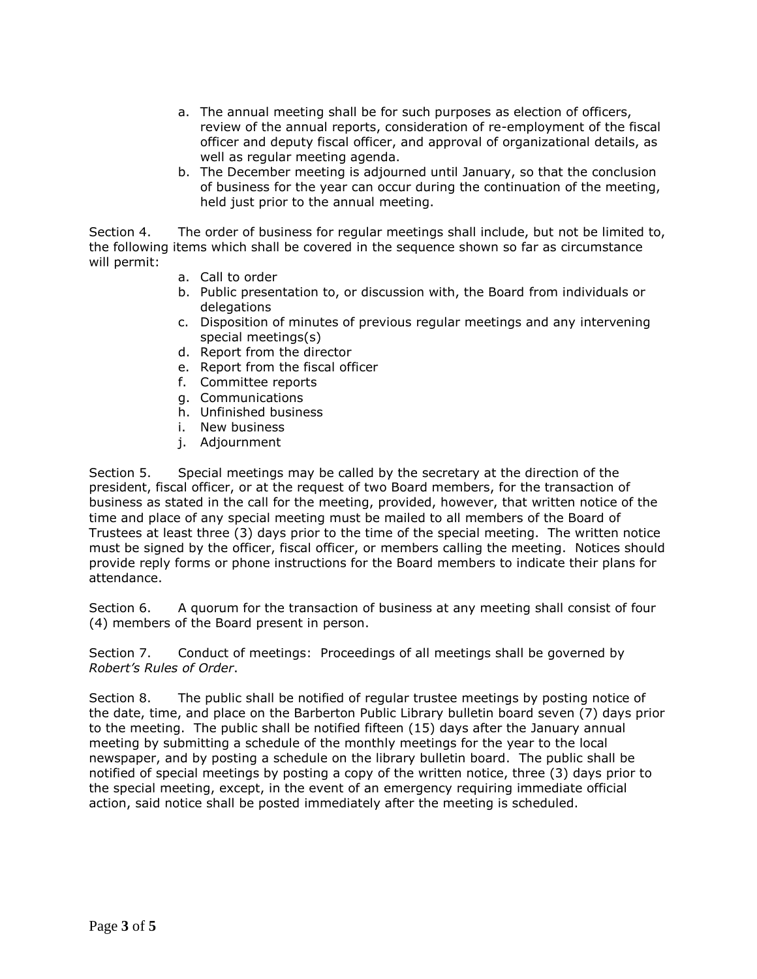- a. The annual meeting shall be for such purposes as election of officers, review of the annual reports, consideration of re-employment of the fiscal officer and deputy fiscal officer, and approval of organizational details, as well as regular meeting agenda.
- b. The December meeting is adjourned until January, so that the conclusion of business for the year can occur during the continuation of the meeting, held just prior to the annual meeting.

Section 4. The order of business for regular meetings shall include, but not be limited to, the following items which shall be covered in the sequence shown so far as circumstance will permit:

- a. Call to order
- b. Public presentation to, or discussion with, the Board from individuals or delegations
- c. Disposition of minutes of previous regular meetings and any intervening special meetings(s)
- d. Report from the director
- e. Report from the fiscal officer
- f. Committee reports
- g. Communications
- h. Unfinished business
- i. New business
- j. Adjournment

Section 5. Special meetings may be called by the secretary at the direction of the president, fiscal officer, or at the request of two Board members, for the transaction of business as stated in the call for the meeting, provided, however, that written notice of the time and place of any special meeting must be mailed to all members of the Board of Trustees at least three (3) days prior to the time of the special meeting. The written notice must be signed by the officer, fiscal officer, or members calling the meeting. Notices should provide reply forms or phone instructions for the Board members to indicate their plans for attendance.

Section 6. A quorum for the transaction of business at any meeting shall consist of four (4) members of the Board present in person.

Section 7. Conduct of meetings: Proceedings of all meetings shall be governed by *Robert's Rules of Order*.

Section 8. The public shall be notified of regular trustee meetings by posting notice of the date, time, and place on the Barberton Public Library bulletin board seven (7) days prior to the meeting. The public shall be notified fifteen (15) days after the January annual meeting by submitting a schedule of the monthly meetings for the year to the local newspaper, and by posting a schedule on the library bulletin board. The public shall be notified of special meetings by posting a copy of the written notice, three (3) days prior to the special meeting, except, in the event of an emergency requiring immediate official action, said notice shall be posted immediately after the meeting is scheduled.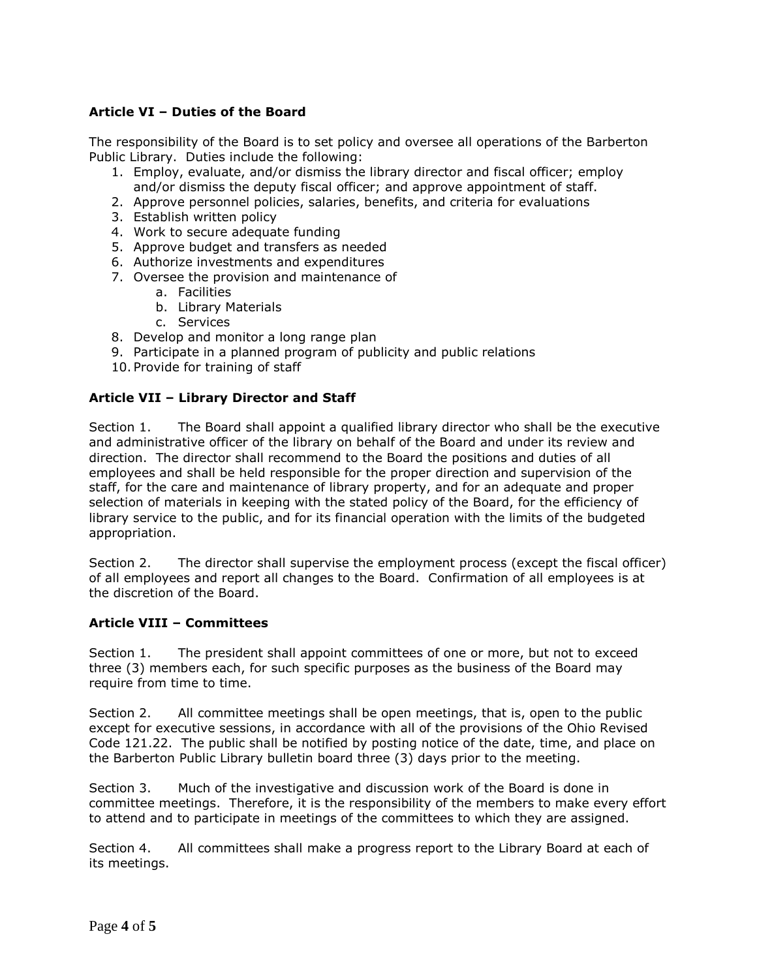### **Article VI – Duties of the Board**

The responsibility of the Board is to set policy and oversee all operations of the Barberton Public Library. Duties include the following:

- 1. Employ, evaluate, and/or dismiss the library director and fiscal officer; employ and/or dismiss the deputy fiscal officer; and approve appointment of staff.
- 2. Approve personnel policies, salaries, benefits, and criteria for evaluations
- 3. Establish written policy
- 4. Work to secure adequate funding
- 5. Approve budget and transfers as needed
- 6. Authorize investments and expenditures
- 7. Oversee the provision and maintenance of
	- a. Facilities
	- b. Library Materials
	- c. Services
- 8. Develop and monitor a long range plan
- 9. Participate in a planned program of publicity and public relations
- 10. Provide for training of staff

### **Article VII – Library Director and Staff**

Section 1. The Board shall appoint a qualified library director who shall be the executive and administrative officer of the library on behalf of the Board and under its review and direction. The director shall recommend to the Board the positions and duties of all employees and shall be held responsible for the proper direction and supervision of the staff, for the care and maintenance of library property, and for an adequate and proper selection of materials in keeping with the stated policy of the Board, for the efficiency of library service to the public, and for its financial operation with the limits of the budgeted appropriation.

Section 2. The director shall supervise the employment process (except the fiscal officer) of all employees and report all changes to the Board. Confirmation of all employees is at the discretion of the Board.

#### **Article VIII – Committees**

Section 1. The president shall appoint committees of one or more, but not to exceed three (3) members each, for such specific purposes as the business of the Board may require from time to time.

Section 2. All committee meetings shall be open meetings, that is, open to the public except for executive sessions, in accordance with all of the provisions of the Ohio Revised Code 121.22. The public shall be notified by posting notice of the date, time, and place on the Barberton Public Library bulletin board three (3) days prior to the meeting.

Section 3. Much of the investigative and discussion work of the Board is done in committee meetings. Therefore, it is the responsibility of the members to make every effort to attend and to participate in meetings of the committees to which they are assigned.

Section 4. All committees shall make a progress report to the Library Board at each of its meetings.